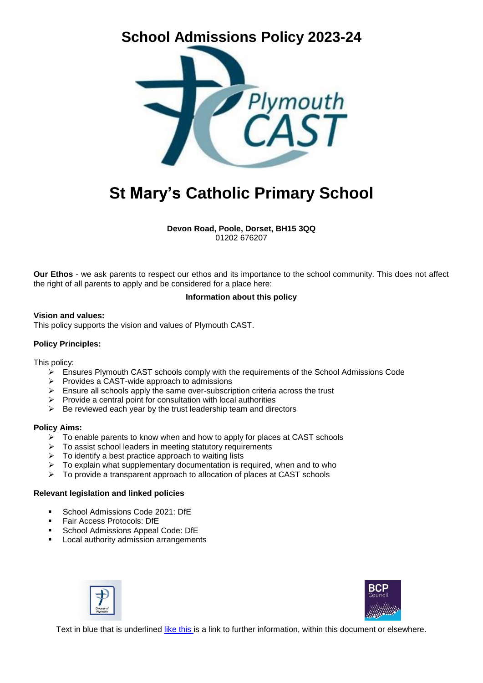# **School Admissions Policy 2023-24**



# **St Mary's Catholic Primary School**

**Devon Road, Poole, Dorset, BH15 3QQ** 01202 676207

**Our Ethos** - we ask parents to respect our ethos and its importance to the school community. This does not affect the right of all parents to apply and be considered for a place here:

#### **Information about this policy**

#### **Vision and values:**

This policy supports the vision and values of Plymouth CAST.

#### **Policy Principles:**

This policy:

- $\triangleright$  Ensures Plymouth CAST schools comply with the requirements of the School Admissions Code
- $\triangleright$  Provides a CAST-wide approach to admissions
- $\triangleright$  Ensure all schools apply the same over-subscription criteria across the trust
- $\triangleright$  Provide a central point for consultation with local authorities
- $\triangleright$  Be reviewed each year by the trust leadership team and directors

#### **Policy Aims:**

- $\triangleright$  To enable parents to know when and how to apply for places at CAST schools
- $\triangleright$  To assist school leaders in meeting statutory requirements
- $\triangleright$  To identify a best practice approach to waiting lists
- $\triangleright$  To explain what supplementary documentation is required, when and to who
- $\triangleright$  To provide a transparent approach to allocation of places at CAST schools

#### **Relevant legislation and linked policies**

- School Admissions Code 2021: DfE
- Fair Access Protocols: DfE
- School Admissions Appeal Code: DfE
- Local authority admission arrangements





Text in blue that is underlined like this is a link to further information, within this document or elsewhere.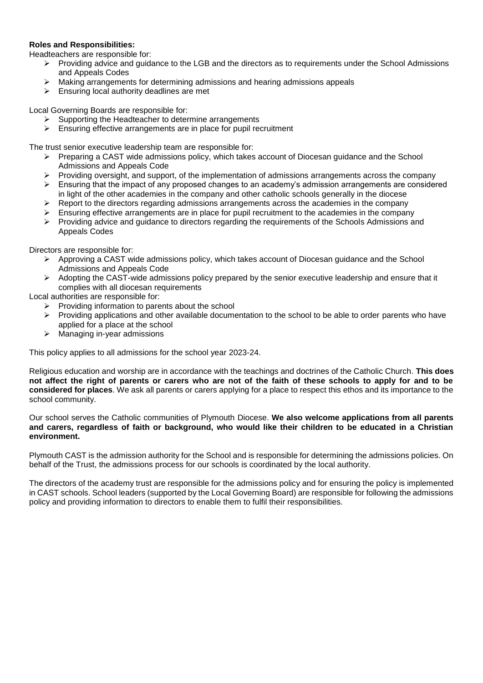#### **Roles and Responsibilities:**

Headteachers are responsible for:

- $\triangleright$  Providing advice and guidance to the LGB and the directors as to requirements under the School Admissions and Appeals Codes
- $\triangleright$  Making arrangements for determining admissions and hearing admissions appeals
- $\triangleright$  Ensuring local authority deadlines are met

Local Governing Boards are responsible for:

- $\triangleright$  Supporting the Headteacher to determine arrangements
- $\triangleright$  Ensuring effective arrangements are in place for pupil recruitment

The trust senior executive leadership team are responsible for:

- $\triangleright$  Preparing a CAST wide admissions policy, which takes account of Diocesan guidance and the School Admissions and Appeals Code
- $\triangleright$  Providing oversight, and support, of the implementation of admissions arrangements across the company
- $\triangleright$  Ensuring that the impact of any proposed changes to an academy's admission arrangements are considered in light of the other academies in the company and other catholic schools generally in the diocese
- $\triangleright$  Report to the directors regarding admissions arrangements across the academies in the company
- $\triangleright$  Ensuring effective arrangements are in place for pupil recruitment to the academies in the company
- $\triangleright$  Providing advice and guidance to directors regarding the requirements of the Schools Admissions and Appeals Codes

Directors are responsible for:

- $\triangleright$  Approving a CAST wide admissions policy, which takes account of Diocesan guidance and the School Admissions and Appeals Code
- Adopting the CAST-wide admissions policy prepared by the senior executive leadership and ensure that it complies with all diocesan requirements

Local authorities are responsible for:

- $\triangleright$  Providing information to parents about the school
- $\triangleright$  Providing applications and other available documentation to the school to be able to order parents who have applied for a place at the school
- $\triangleright$  Managing in-year admissions

This policy applies to all admissions for the school year 2023-24.

Religious education and worship are in accordance with the teachings and doctrines of the Catholic Church. **This does not affect the right of parents or carers who are not of the faith of these schools to apply for and to be considered for places**. We ask all parents or carers applying for a place to respect this ethos and its importance to the school community.

Our school serves the Catholic communities of Plymouth Diocese. **We also welcome applications from all parents and carers, regardless of faith or background, who would like their children to be educated in a Christian environment.** 

Plymouth CAST is the admission authority for the School and is responsible for determining the admissions policies. On behalf of the Trust, the admissions process for our schools is coordinated by the local authority.

The directors of the academy trust are responsible for the admissions policy and for ensuring the policy is implemented in CAST schools. School leaders (supported by the Local Governing Board) are responsible for following the admissions policy and providing information to directors to enable them to fulfil their responsibilities.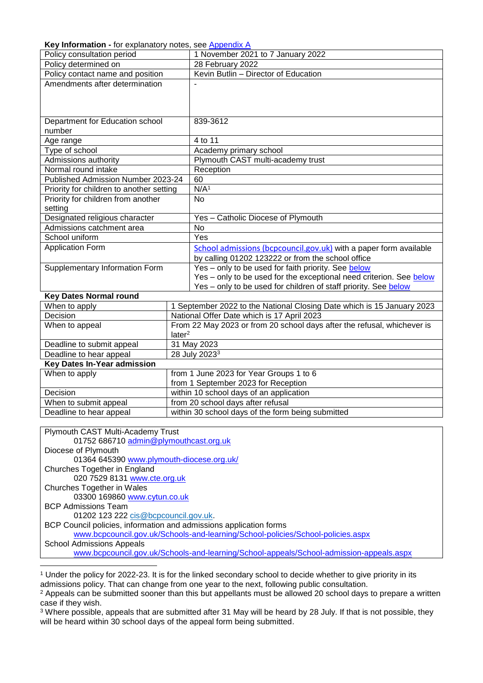<span id="page-2-0"></span>**Key Information -** for explanatory notes, see [Appendix A](#page-9-0)

| <b>Rey information -</b> for explanatory notes, see Appendix A |                                                                        |  |
|----------------------------------------------------------------|------------------------------------------------------------------------|--|
| Policy consultation period                                     | 1 November 2021 to 7 January 2022                                      |  |
| Policy determined on                                           | 28 February 2022                                                       |  |
| Policy contact name and position                               | Kevin Butlin - Director of Education                                   |  |
| Amendments after determination                                 |                                                                        |  |
|                                                                |                                                                        |  |
|                                                                |                                                                        |  |
|                                                                |                                                                        |  |
| Department for Education school                                | 839-3612                                                               |  |
| number                                                         |                                                                        |  |
| Age range                                                      | 4 to 11                                                                |  |
| Type of school                                                 | Academy primary school                                                 |  |
| Admissions authority                                           | Plymouth CAST multi-academy trust                                      |  |
| Normal round intake                                            | Reception                                                              |  |
| Published Admission Number 2023-24                             | 60                                                                     |  |
| Priority for children to another setting                       | N/A <sup>1</sup>                                                       |  |
| Priority for children from another                             | <b>No</b>                                                              |  |
| setting                                                        |                                                                        |  |
| Designated religious character                                 | Yes - Catholic Diocese of Plymouth                                     |  |
| Admissions catchment area                                      | <b>No</b>                                                              |  |
| School uniform                                                 | Yes                                                                    |  |
| <b>Application Form</b>                                        | School admissions (bcpcouncil.gov.uk) with a paper form available      |  |
|                                                                | by calling 01202 123222 or from the school office                      |  |
| Supplementary Information Form                                 | Yes - only to be used for faith priority. See below                    |  |
|                                                                | Yes - only to be used for the exceptional need criterion. See below    |  |
|                                                                | Yes - only to be used for children of staff priority. See below        |  |
| <b>Key Dates Normal round</b>                                  |                                                                        |  |
| When to apply                                                  | 1 September 2022 to the National Closing Date which is 15 January 2023 |  |
| Decision                                                       | National Offer Date which is 17 April 2023                             |  |

| Decision                    | National Offer Date which is 17 April 2023                              |  |
|-----------------------------|-------------------------------------------------------------------------|--|
| When to appeal              | From 22 May 2023 or from 20 school days after the refusal, whichever is |  |
|                             | later <sup>2</sup>                                                      |  |
| Deadline to submit appeal   | 31 May 2023                                                             |  |
| Deadline to hear appeal     | 28 July 2023 <sup>3</sup>                                               |  |
| Key Dates In-Year admission |                                                                         |  |
| When to apply               | from 1 June 2023 for Year Groups 1 to 6                                 |  |
|                             | from 1 September 2023 for Reception                                     |  |
| <b>Decision</b>             | within 10 school days of an application                                 |  |
| When to submit appeal       | from 20 school days after refusal                                       |  |
| Deadline to hear appeal     | within 30 school days of the form being submitted                       |  |

Plymouth CAST Multi-Academy Trust 01752 686710 [admin@plymouthcast.org.uk](mailto:admin@plymouthcast.org.uk) Diocese of Plymouth 01364 645390 [www.plymouth-diocese.org.uk/](http://www.plymouth-diocese.org.uk/) Churches Together in England 020 7529 8131 [www.cte.org.uk](http://www.cte.org.uk/) Churches Together in Wales 03300 169860 [www.cytun.co.uk](http://www.cytun.co.uk/) BCP Admissions Team 01202 123 222 [cis@bcpcouncil.gov.uk.](mailto:cis@bcpcouncil.gov.uk) BCP Council policies, information and admissions application forms [www.bcpcouncil.gov.uk/Schools-and-learning/School-policies/School-policies.aspx](http://www.bcpcouncil.gov.uk/Schools-and-learning/School-policies/School-policies.aspx) School Admissions Appeals [www.bcpcouncil.gov.uk/Schools-and-learning/School-appeals/School-admission-appeals.aspx](http://www.bcpcouncil.gov.uk/Schools-and-learning/School-appeals/School-admission-appeals.aspx)

<sup>3</sup> Where possible, appeals that are submitted after 31 May will be heard by 28 July. If that is not possible, they will be heard within 30 school days of the appeal form being submitted.

l <sup>1</sup> Under the policy for 2022-23. It is for the linked secondary school to decide whether to give priority in its admissions policy. That can change from one year to the next, following public consultation.

<sup>&</sup>lt;sup>2</sup> Appeals can be submitted sooner than this but appellants must be allowed 20 school days to prepare a written case if they wish.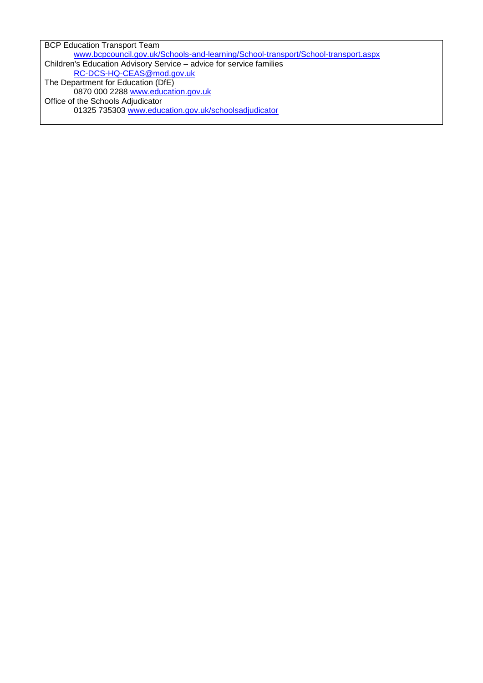BCP Education Transport Team [www.bcpcouncil.gov.uk/Schools-and-learning/School-transport/School-transport.aspx](http://www.bcpcouncil.gov.uk/Schools-and-learning/School-transport/School-transport.aspx) Children's Education Advisory Service – advice for service families [RC-DCS-HQ-CEAS@mod.gov.uk](mailto:RC-DCS-HQ-CEAS@mod.gov.uk)  The Department for Education (DfE) 0870 000 2288 [www.education.gov.uk](http://www.education.gov.uk/) Office of the Schools Adjudicator 01325 735303 [www.education.gov.uk/schoolsadjudicator](http://www.education.gov.uk/schoolsadjudicator)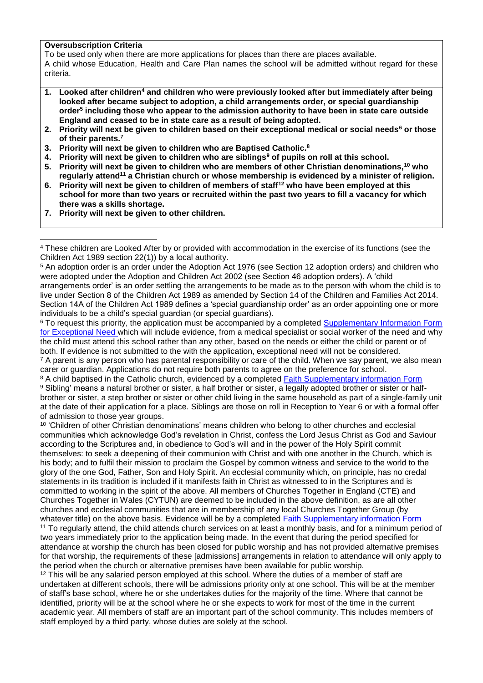#### **Oversubscription Criteria**

 $\overline{\phantom{a}}$ 

To be used only when there are more applications for places than there are places available. A child whose Education, Health and Care Plan names the school will be admitted without regard for these criteria.

- **1. Looked after children<sup>4</sup> and children who were previously looked after but immediately after being looked after became subject to adoption, a child arrangements order, or special guardianship order<sup>5</sup> including those who appear to the admission authority to have been in state care outside England and ceased to be in state care as a result of being adopted.**
- **2. Priority will next be given to children based on their exceptional medical or social needs<sup>6</sup> or those of their parents.<sup>7</sup>**
- **3. Priority will next be given to children who are Baptised Catholic.<sup>8</sup>**
- **4. Priority will next be given to children who are siblings<sup>9</sup> of pupils on roll at this school.**
- **5. Priority will next be given to children who are members of other Christian denominations,<sup>10</sup> who regularly attend<sup>11</sup> a Christian church or whose membership is evidenced by a minister of religion.**
- **6. Priority will next be given to children of members of staff<sup>12</sup> who have been employed at this school for more than two years or recruited within the past two years to fill a vacancy for which there was a skills shortage.**
- **7. Priority will next be given to other children.**

<sup>6</sup> To request this priority, the application must be accompanied by a completed Supplementary Information Form [for Exceptional Need](file:///C:/Users/andrew.brent/AppData/Local/Microsoft/Windows/INetCache/Content.Outlook/UQ6WYLIE/Plymouth%20CAST%20draft%20criteria%202023.docx%23sifexceptional) which will include evidence, from a medical specialist or social worker of the need and why the child must attend this school rather than any other, based on the needs or either the child or parent or of both. If evidence is not submitted to the with the application, exceptional need will not be considered.

 $7$  A parent is any person who has parental responsibility or care of the child. When we say parent, we also mean carer or guardian. Applications do not require both parents to agree on the preference for school.

<sup>8</sup> A child baptised in the Catholic church, evidenced by a completed [Faith Supplementary information Form](file:///C:/Users/andrew.brent/AppData/Local/Microsoft/Windows/INetCache/Content.Outlook/UQ6WYLIE/Plymouth%20CAST%20draft%20criteria%202023.docx%23siffaith) <sup>9</sup> Sibling' means a natural brother or sister, a half brother or sister, a legally adopted brother or sister or halfbrother or sister, a step brother or sister or other child living in the same household as part of a single-family unit at the date of their application for a place. Siblings are those on roll in Reception to Year 6 or with a formal offer of admission to those year groups.

<sup>10</sup> 'Children of other Christian denominations' means children who belong to other churches and ecclesial communities which acknowledge God's revelation in Christ, confess the Lord Jesus Christ as God and Saviour according to the Scriptures and, in obedience to God's will and in the power of the Holy Spirit commit themselves: to seek a deepening of their communion with Christ and with one another in the Church, which is his body; and to fulfil their mission to proclaim the Gospel by common witness and service to the world to the glory of the one God, Father, Son and Holy Spirit. An ecclesial community which, on principle, has no credal statements in its tradition is included if it manifests faith in Christ as witnessed to in the Scriptures and is committed to working in the spirit of the above. All members of Churches Together in England (CTE) and Churches Together in Wales (CYTUN) are deemed to be included in the above definition, as are all other churches and ecclesial communities that are in membership of any local Churches Together Group (by whatever title) on the above basis. Evidence will be by a completed [Faith Supplementary information Form](file:///C:/Users/andrew.brent/AppData/Local/Microsoft/Windows/INetCache/Content.Outlook/UQ6WYLIE/Plymouth%20CAST%20draft%20criteria%202023.docx%23siffaith)

<sup>11</sup> To regularly attend, the child attends church services on at least a monthly basis, and for a minimum period of two years immediately prior to the application being made. In the event that during the period specified for attendance at worship the church has been closed for public worship and has not provided alternative premises for that worship, the requirements of these [admissions] arrangements in relation to attendance will only apply to the period when the church or alternative premises have been available for public worship.

 $12$  This will be any salaried person employed at this school. Where the duties of a member of staff are undertaken at different schools, there will be admissions priority only at one school. This will be at the member of staff's base school, where he or she undertakes duties for the majority of the time. Where that cannot be identified, priority will be at the school where he or she expects to work for most of the time in the current academic year. All members of staff are an important part of the school community. This includes members of staff employed by a third party, whose duties are solely at the school.

<sup>4</sup> These children are Looked After by or provided with accommodation in the exercise of its functions (see the Children Act 1989 section 22(1)) by a local authority.

<sup>5</sup> An adoption order is an order under the Adoption Act 1976 (see Section 12 adoption orders) and children who were adopted under the Adoption and Children Act 2002 (see Section 46 adoption orders). A 'child arrangements order' is an order settling the arrangements to be made as to the person with whom the child is to live under Section 8 of the Children Act 1989 as amended by Section 14 of the Children and Families Act 2014. Section 14A of the Children Act 1989 defines a 'special guardianship order' as an order appointing one or more individuals to be a child's special guardian (or special guardians).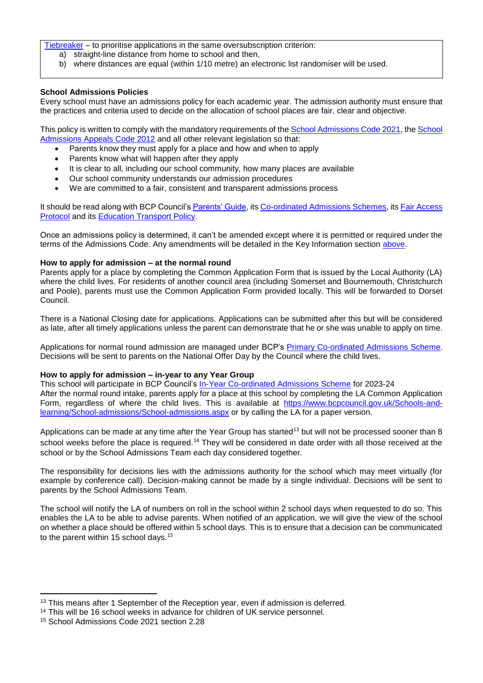[Tiebreaker](#page-15-0) – to prioritise applications in the same oversubscription criterion:

- a) straight-line distance from home to school and then,
- b) where distances are equal (within 1/10 metre) an electronic list randomiser will be used.

#### **School Admissions Policies**

Every school must have an admissions policy for each academic year. The admission authority must ensure that the practices and criteria used to decide on the allocation of school places are fair, clear and objective.

This policy is written to comply with the mandatory requirements of th[e School Admissions Code 2021,](https://www.gov.uk/government/publications/school-admissions-code--2) the [School](https://www.gov.uk/government/publications/school-admissions-appeals-code)  [Admissions Appeals Code 2012](https://www.gov.uk/government/publications/school-admissions-appeals-code) and all other relevant legislation so that:

- Parents know they must apply for a place and how and when to apply
- Parents know what will happen after they apply
- It is clear to all, including our school community, how many places are available
- Our school community understands our admission procedures
- We are committed to a fair, consistent and transparent admissions process

It should be read along with BCP Council's [Parents' Guide,](https://www.bcpcouncil.gov.uk/Schools-and-learning/School-admissions/Parents-guide-to-school-admissions/Parents-guide-to-school-admissions.aspx) its [Co-ordinated Admissions Schemes,](https://www.bcpcouncil.gov.uk/Schools-and-learning/School-policies/School-policies.aspx) its [Fair Access](https://www.bcpcouncil.gov.uk/Schools-and-learning/School-policies/School-policies.aspx)  [Protocol](https://www.bcpcouncil.gov.uk/Schools-and-learning/School-policies/School-policies.aspx) and its [Education Transport Policy.](https://www.bcpcouncil.gov.uk/Schools-and-learning/School-transport/School-transport.aspx)

Once an admissions policy is determined, it can't be amended except where it is permitted or required under the terms of the Admissions Code. Any amendments will be detailed in the Key Information section above.

#### **How to apply for admission – at the normal round**

Parents apply for a place by completing the Common Application Form that is issued by the Local Authority (LA) where the child lives. For residents of another council area (including Somerset and Bournemouth, Christchurch and Poole), parents must use the Common Application Form provided locally. This will be forwarded to Dorset Council.

There is a National Closing date for applications. Applications can be submitted after this but will be considered as late, after all timely applications unless the parent can demonstrate that he or she was unable to apply on time.

Applications for normal round admission are managed under BCP's [Primary Co-ordinated Admissions Scheme.](https://www.bcpcouncil.gov.uk/Schools-and-learning/School-policies/School-policies.aspx) Decisions will be sent to parents on the National Offer Day by the Council where the child lives.

#### **How to apply for admission – in-year to any Year Group**

This school will participate in BCP Council's [In-Year Co-ordinated Admissions Scheme](https://www.bcpcouncil.gov.uk/Schools-and-learning/School-policies/School-policies.aspx) for 2023-24 After the normal round intake, parents apply for a place at this school by completing the LA Common Application Form, regardless of where the child lives. This is available at [https://www.bcpcouncil.gov.uk/Schools-and](https://www.bcpcouncil.gov.uk/Schools-and-learning/School-admissions/School-admissions.aspx)[learning/School-admissions/School-admissions.aspx](https://www.bcpcouncil.gov.uk/Schools-and-learning/School-admissions/School-admissions.aspx) or by calling the LA for a paper version.

Applications can be made at any time after the Year Group has started<sup>13</sup> but will not be processed sooner than 8 school weeks before the place is required.<sup>14</sup> They will be considered in date order with all those received at the school or by the School Admissions Team each day considered together.

The responsibility for decisions lies with the admissions authority for the school which may meet virtually (for example by conference call). Decision-making cannot be made by a single individual. Decisions will be sent to parents by the School Admissions Team.

The school will notify the LA of numbers on roll in the school within 2 school days when requested to do so. This enables the LA to be able to advise parents. When notified of an application, we will give the view of the school on whether a place should be offered within 5 school days. This is to ensure that a decision can be communicated to the parent within 15 school days.<sup>15</sup>

 $\overline{a}$ 

<sup>&</sup>lt;sup>13</sup> This means after 1 September of the Reception year, even if admission is deferred.

<sup>14</sup> This will be 16 school weeks in advance for children of UK service personnel.

<sup>15</sup> School Admissions Code 2021 section 2.28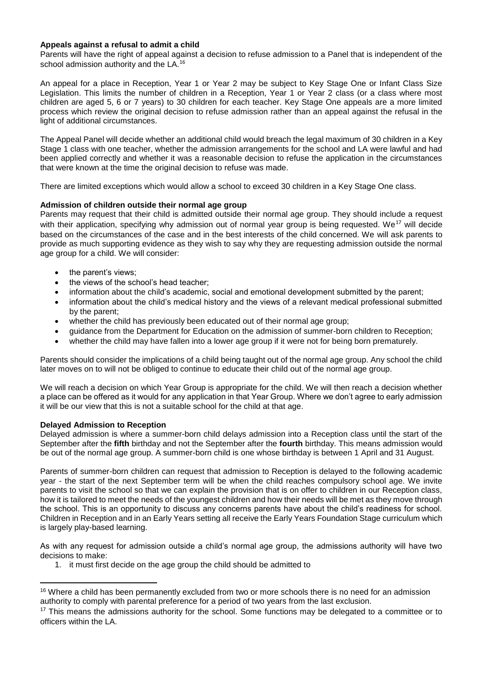#### **Appeals against a refusal to admit a child**

Parents will have the right of appeal against a decision to refuse admission to a Panel that is independent of the school admission authority and the LA.<sup>16</sup>

An appeal for a place in Reception, Year 1 or Year 2 may be subject to Key Stage One or Infant Class Size Legislation. This limits the number of children in a Reception, Year 1 or Year 2 class (or a class where most children are aged 5, 6 or 7 years) to 30 children for each teacher. Key Stage One appeals are a more limited process which review the original decision to refuse admission rather than an appeal against the refusal in the light of additional circumstances.

The Appeal Panel will decide whether an additional child would breach the legal maximum of 30 children in a Key Stage 1 class with one teacher, whether the admission arrangements for the school and LA were lawful and had been applied correctly and whether it was a reasonable decision to refuse the application in the circumstances that were known at the time the original decision to refuse was made.

There are limited exceptions which would allow a school to exceed 30 children in a Key Stage One class.

#### **Admission of children outside their normal age group**

Parents may request that their child is admitted outside their normal age group. They should include a request with their application, specifying why admission out of normal year group is being requested. We<sup>17</sup> will decide based on the circumstances of the case and in the best interests of the child concerned. We will ask parents to provide as much supporting evidence as they wish to say why they are requesting admission outside the normal age group for a child. We will consider:

- the parent's views;
- the views of the school's head teacher;
- information about the child's academic, social and emotional development submitted by the parent;
- information about the child's medical history and the views of a relevant medical professional submitted by the parent;
- whether the child has previously been educated out of their normal age group;
- guidance from the Department for Education on the admission of summer-born children to Reception;
- whether the child may have fallen into a lower age group if it were not for being born prematurely.

Parents should consider the implications of a child being taught out of the normal age group. Any school the child later moves on to will not be obliged to continue to educate their child out of the normal age group.

We will reach a decision on which Year Group is appropriate for the child. We will then reach a decision whether a place can be offered as it would for any application in that Year Group. Where we don't agree to early admission it will be our view that this is not a suitable school for the child at that age.

#### **Delayed Admission to Reception**

l

Delayed admission is where a summer-born child delays admission into a Reception class until the start of the September after the **fifth** birthday and not the September after the **fourth** birthday. This means admission would be out of the normal age group. A summer-born child is one whose birthday is between 1 April and 31 August.

Parents of summer-born children can request that admission to Reception is delayed to the following academic year - the start of the next September term will be when the child reaches compulsory school age. We invite parents to visit the school so that we can explain the provision that is on offer to children in our Reception class, how it is tailored to meet the needs of the youngest children and how their needs will be met as they move through the school. This is an opportunity to discuss any concerns parents have about the child's readiness for school. Children in Reception and in an Early Years setting all receive the Early Years Foundation Stage curriculum which is largely play-based learning.

As with any request for admission outside a child's normal age group, the admissions authority will have two decisions to make:

1. it must first decide on the age group the child should be admitted to

<sup>&</sup>lt;sup>16</sup> Where a child has been permanently excluded from two or more schools there is no need for an admission authority to comply with parental preference for a period of two years from the last exclusion.

<sup>&</sup>lt;sup>17</sup> This means the admissions authority for the school. Some functions may be delegated to a committee or to officers within the LA.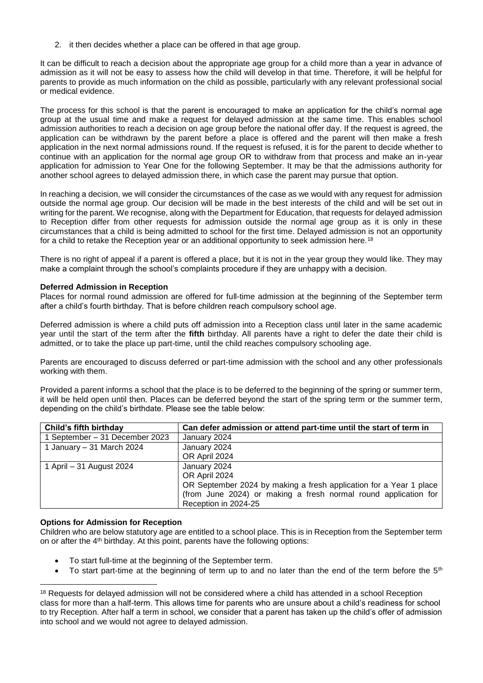2. it then decides whether a place can be offered in that age group.

It can be difficult to reach a decision about the appropriate age group for a child more than a year in advance of admission as it will not be easy to assess how the child will develop in that time. Therefore, it will be helpful for parents to provide as much information on the child as possible, particularly with any relevant professional social or medical evidence.

The process for this school is that the parent is encouraged to make an application for the child's normal age group at the usual time and make a request for delayed admission at the same time. This enables school admission authorities to reach a decision on age group before the national offer day. If the request is agreed, the application can be withdrawn by the parent before a place is offered and the parent will then make a fresh application in the next normal admissions round. If the request is refused, it is for the parent to decide whether to continue with an application for the normal age group OR to withdraw from that process and make an in-year application for admission to Year One for the following September. It may be that the admissions authority for another school agrees to delayed admission there, in which case the parent may pursue that option.

In reaching a decision, we will consider the circumstances of the case as we would with any request for admission outside the normal age group. Our decision will be made in the best interests of the child and will be set out in writing for the parent. We recognise, along with the Department for Education, that requests for delayed admission to Reception differ from other requests for admission outside the normal age group as it is only in these circumstances that a child is being admitted to school for the first time. Delayed admission is not an opportunity for a child to retake the Reception year or an additional opportunity to seek admission here.<sup>18</sup>

There is no right of appeal if a parent is offered a place, but it is not in the year group they would like. They may make a complaint through the school's complaints procedure if they are unhappy with a decision.

#### **Deferred Admission in Reception**

Places for normal round admission are offered for full-time admission at the beginning of the September term after a child's fourth birthday. That is before children reach compulsory school age.

Deferred admission is where a child puts off admission into a Reception class until later in the same academic year until the start of the term after the **fifth** birthday. All parents have a right to defer the date their child is admitted, or to take the place up part-time, until the child reaches compulsory schooling age.

Parents are encouraged to discuss deferred or part-time admission with the school and any other professionals working with them.

Provided a parent informs a school that the place is to be deferred to the beginning of the spring or summer term, it will be held open until then. Places can be deferred beyond the start of the spring term or the summer term, depending on the child's birthdate. Please see the table below:

| Child's fifth birthday         | Can defer admission or attend part-time until the start of term in |
|--------------------------------|--------------------------------------------------------------------|
| 1 September - 31 December 2023 | January 2024                                                       |
| 1 January - 31 March 2024      | January 2024                                                       |
|                                | OR April 2024                                                      |
| 1 April – 31 August 2024       | January 2024                                                       |
|                                | OR April 2024                                                      |
|                                | OR September 2024 by making a fresh application for a Year 1 place |
|                                | (from June 2024) or making a fresh normal round application for    |
|                                | Reception in 2024-25                                               |

#### **Options for Admission for Reception**

 $\overline{\phantom{a}}$ 

Children who are below statutory age are entitled to a school place. This is in Reception from the September term on or after the  $4<sup>th</sup>$  birthday. At this point, parents have the following options:

- To start full-time at the beginning of the September term.
- To start part-time at the beginning of term up to and no later than the end of the term before the 5<sup>th</sup>

<sup>&</sup>lt;sup>18</sup> Requests for delayed admission will not be considered where a child has attended in a school Reception class for more than a half-term. This allows time for parents who are unsure about a child's readiness for school to try Reception. After half a term in school, we consider that a parent has taken up the child's offer of admission into school and we would not agree to delayed admission.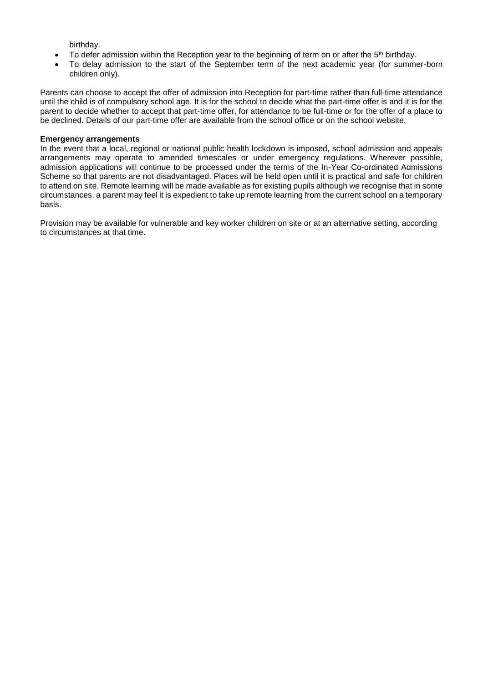birthday.

- $\bullet$  To defer admission within the Reception year to the beginning of term on or after the 5<sup>th</sup> birthday.
- To delay admission to the start of the September term of the next academic year (for summer-born children only).

Parents can choose to accept the offer of admission into Reception for part-time rather than full-time attendance until the child is of compulsory school age. It is for the school to decide what the part-time offer is and it is for the parent to decide whether to accept that part-time offer, for attendance to be full-time or for the offer of a place to be declined. Details of our part-time offer are available from the school office or on the school website.

#### **Emergency arrangements**

In the event that a local, regional or national public health lockdown is imposed, school admission and appeals arrangements may operate to amended timescales or under emergency regulations. Wherever possible, admission applications will continue to be processed under the terms of the In-Year Co-ordinated Admissions Scheme so that parents are not disadvantaged. Places will be held open until it is practical and safe for children to attend on site. Remote learning will be made available as for existing pupils although we recognise that in some circumstances, a parent may feel it is expedient to take up remote learning from the current school on a temporary basis.

Provision may be available for vulnerable and key worker children on site or at an alternative setting, according to circumstances at that time.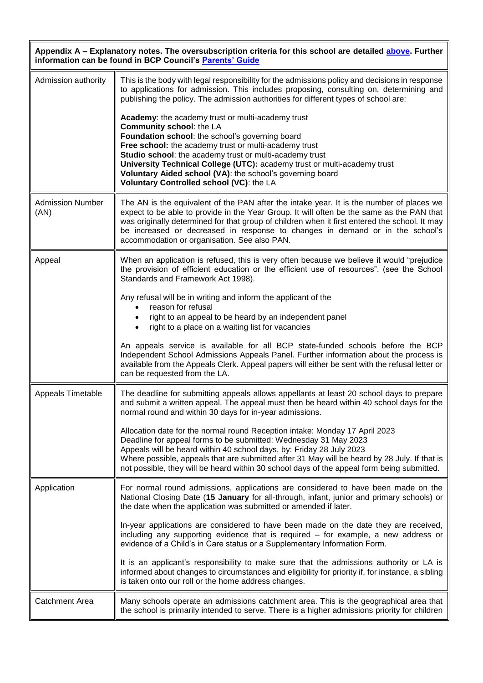<span id="page-9-0"></span>

| Appendix A - Explanatory notes. The oversubscription criteria for this school are detailed above. Further<br>information can be found in BCP Council's Parents' Guide |                                                                                                                                                                                                                                                                                                                                                                                                                         |  |
|-----------------------------------------------------------------------------------------------------------------------------------------------------------------------|-------------------------------------------------------------------------------------------------------------------------------------------------------------------------------------------------------------------------------------------------------------------------------------------------------------------------------------------------------------------------------------------------------------------------|--|
| Admission authority                                                                                                                                                   | This is the body with legal responsibility for the admissions policy and decisions in response<br>to applications for admission. This includes proposing, consulting on, determining and<br>publishing the policy. The admission authorities for different types of school are:<br>Academy: the academy trust or multi-academy trust                                                                                    |  |
|                                                                                                                                                                       | Community school: the LA<br>Foundation school: the school's governing board<br>Free school: the academy trust or multi-academy trust<br>Studio school: the academy trust or multi-academy trust<br>University Technical College (UTC): academy trust or multi-academy trust<br>Voluntary Aided school (VA): the school's governing board<br>Voluntary Controlled school (VC): the LA                                    |  |
| <b>Admission Number</b><br>(AN)                                                                                                                                       | The AN is the equivalent of the PAN after the intake year. It is the number of places we<br>expect to be able to provide in the Year Group. It will often be the same as the PAN that<br>was originally determined for that group of children when it first entered the school. It may<br>be increased or decreased in response to changes in demand or in the school's<br>accommodation or organisation. See also PAN. |  |
| Appeal                                                                                                                                                                | When an application is refused, this is very often because we believe it would "prejudice<br>the provision of efficient education or the efficient use of resources". (see the School<br>Standards and Framework Act 1998).                                                                                                                                                                                             |  |
|                                                                                                                                                                       | Any refusal will be in writing and inform the applicant of the<br>reason for refusal<br>right to an appeal to be heard by an independent panel<br>right to a place on a waiting list for vacancies<br>$\bullet$                                                                                                                                                                                                         |  |
|                                                                                                                                                                       | An appeals service is available for all BCP state-funded schools before the BCP<br>Independent School Admissions Appeals Panel. Further information about the process is<br>available from the Appeals Clerk. Appeal papers will either be sent with the refusal letter or<br>can be requested from the LA.                                                                                                             |  |
| <b>Appeals Timetable</b>                                                                                                                                              | The deadline for submitting appeals allows appellants at least 20 school days to prepare<br>and submit a written appeal. The appeal must then be heard within 40 school days for the<br>normal round and within 30 days for in-year admissions.                                                                                                                                                                         |  |
|                                                                                                                                                                       | Allocation date for the normal round Reception intake: Monday 17 April 2023<br>Deadline for appeal forms to be submitted: Wednesday 31 May 2023<br>Appeals will be heard within 40 school days, by: Friday 28 July 2023<br>Where possible, appeals that are submitted after 31 May will be heard by 28 July. If that is<br>not possible, they will be heard within 30 school days of the appeal form being submitted.   |  |
| Application                                                                                                                                                           | For normal round admissions, applications are considered to have been made on the<br>National Closing Date (15 January for all-through, infant, junior and primary schools) or<br>the date when the application was submitted or amended if later.                                                                                                                                                                      |  |
|                                                                                                                                                                       | In-year applications are considered to have been made on the date they are received,<br>including any supporting evidence that is required - for example, a new address or<br>evidence of a Child's in Care status or a Supplementary Information Form.                                                                                                                                                                 |  |
|                                                                                                                                                                       | It is an applicant's responsibility to make sure that the admissions authority or LA is<br>informed about changes to circumstances and eligibility for priority if, for instance, a sibling<br>is taken onto our roll or the home address changes.                                                                                                                                                                      |  |
| <b>Catchment Area</b>                                                                                                                                                 | Many schools operate an admissions catchment area. This is the geographical area that<br>the school is primarily intended to serve. There is a higher admissions priority for children                                                                                                                                                                                                                                  |  |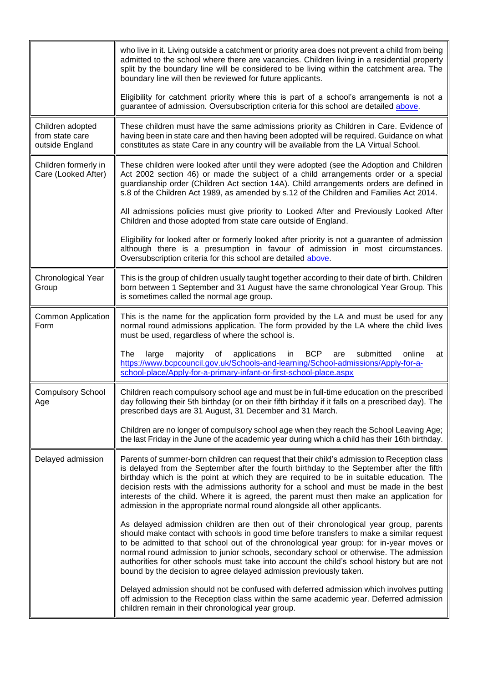|                                                        | who live in it. Living outside a catchment or priority area does not prevent a child from being<br>admitted to the school where there are vacancies. Children living in a residential property<br>split by the boundary line will be considered to be living within the catchment area. The<br>boundary line will then be reviewed for future applicants.                                                                                                                                                                                             |
|--------------------------------------------------------|-------------------------------------------------------------------------------------------------------------------------------------------------------------------------------------------------------------------------------------------------------------------------------------------------------------------------------------------------------------------------------------------------------------------------------------------------------------------------------------------------------------------------------------------------------|
|                                                        | Eligibility for catchment priority where this is part of a school's arrangements is not a<br>guarantee of admission. Oversubscription criteria for this school are detailed above.                                                                                                                                                                                                                                                                                                                                                                    |
| Children adopted<br>from state care<br>outside England | These children must have the same admissions priority as Children in Care. Evidence of<br>having been in state care and then having been adopted will be required. Guidance on what<br>constitutes as state Care in any country will be available from the LA Virtual School.                                                                                                                                                                                                                                                                         |
| Children formerly in<br>Care (Looked After)            | These children were looked after until they were adopted (see the Adoption and Children<br>Act 2002 section 46) or made the subject of a child arrangements order or a special<br>guardianship order (Children Act section 14A). Child arrangements orders are defined in<br>s.8 of the Children Act 1989, as amended by s.12 of the Children and Families Act 2014.                                                                                                                                                                                  |
|                                                        | All admissions policies must give priority to Looked After and Previously Looked After<br>Children and those adopted from state care outside of England.                                                                                                                                                                                                                                                                                                                                                                                              |
|                                                        | Eligibility for looked after or formerly looked after priority is not a guarantee of admission<br>although there is a presumption in favour of admission in most circumstances.<br>Oversubscription criteria for this school are detailed above.                                                                                                                                                                                                                                                                                                      |
| Chronological Year<br>Group                            | This is the group of children usually taught together according to their date of birth. Children<br>born between 1 September and 31 August have the same chronological Year Group. This<br>is sometimes called the normal age group.                                                                                                                                                                                                                                                                                                                  |
| Common Application<br>Form                             | This is the name for the application form provided by the LA and must be used for any<br>normal round admissions application. The form provided by the LA where the child lives<br>must be used, regardless of where the school is.                                                                                                                                                                                                                                                                                                                   |
|                                                        | <b>BCP</b><br>online<br>The<br>large<br>majority<br>of<br>applications<br>in<br>submitted<br>are<br>at<br>https://www.bcpcouncil.gov.uk/Schools-and-learning/School-admissions/Apply-for-a-<br>school-place/Apply-for-a-primary-infant-or-first-school-place.aspx                                                                                                                                                                                                                                                                                     |
| <b>Compulsory School</b><br>Age                        | Children reach compulsory school age and must be in full-time education on the prescribed<br>day following their 5th birthday (or on their fifth birthday if it falls on a prescribed day). The<br>prescribed days are 31 August, 31 December and 31 March.                                                                                                                                                                                                                                                                                           |
|                                                        | Children are no longer of compulsory school age when they reach the School Leaving Age;<br>the last Friday in the June of the academic year during which a child has their 16th birthday.                                                                                                                                                                                                                                                                                                                                                             |
| Delayed admission                                      | Parents of summer-born children can request that their child's admission to Reception class<br>is delayed from the September after the fourth birthday to the September after the fifth<br>birthday which is the point at which they are required to be in suitable education. The<br>decision rests with the admissions authority for a school and must be made in the best<br>interests of the child. Where it is agreed, the parent must then make an application for<br>admission in the appropriate normal round alongside all other applicants. |
|                                                        | As delayed admission children are then out of their chronological year group, parents<br>should make contact with schools in good time before transfers to make a similar request<br>to be admitted to that school out of the chronological year group: for in-year moves or<br>normal round admission to junior schools, secondary school or otherwise. The admission<br>authorities for other schools must take into account the child's school history but are not<br>bound by the decision to agree delayed admission previously taken.           |
|                                                        | Delayed admission should not be confused with deferred admission which involves putting<br>off admission to the Reception class within the same academic year. Deferred admission<br>children remain in their chronological year group.                                                                                                                                                                                                                                                                                                               |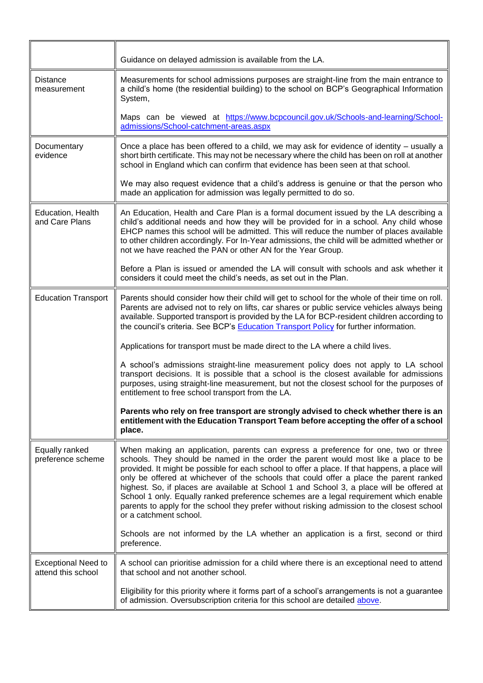|                                                  | Guidance on delayed admission is available from the LA.                                                                                                                                                                                                                                                                                                                                                                                                                                                                                                                                                                                                                              |
|--------------------------------------------------|--------------------------------------------------------------------------------------------------------------------------------------------------------------------------------------------------------------------------------------------------------------------------------------------------------------------------------------------------------------------------------------------------------------------------------------------------------------------------------------------------------------------------------------------------------------------------------------------------------------------------------------------------------------------------------------|
| Distance<br>measurement                          | Measurements for school admissions purposes are straight-line from the main entrance to<br>a child's home (the residential building) to the school on BCP's Geographical Information<br>System,                                                                                                                                                                                                                                                                                                                                                                                                                                                                                      |
|                                                  | Maps can be viewed at https://www.bcpcouncil.gov.uk/Schools-and-learning/School-<br>admissions/School-catchment-areas.aspx                                                                                                                                                                                                                                                                                                                                                                                                                                                                                                                                                           |
| Documentary<br>evidence                          | Once a place has been offered to a child, we may ask for evidence of identity – usually a<br>short birth certificate. This may not be necessary where the child has been on roll at another<br>school in England which can confirm that evidence has been seen at that school.                                                                                                                                                                                                                                                                                                                                                                                                       |
|                                                  | We may also request evidence that a child's address is genuine or that the person who<br>made an application for admission was legally permitted to do so.                                                                                                                                                                                                                                                                                                                                                                                                                                                                                                                           |
| Education, Health<br>and Care Plans              | An Education, Health and Care Plan is a formal document issued by the LA describing a<br>child's additional needs and how they will be provided for in a school. Any child whose<br>EHCP names this school will be admitted. This will reduce the number of places available<br>to other children accordingly. For In-Year admissions, the child will be admitted whether or<br>not we have reached the PAN or other AN for the Year Group.                                                                                                                                                                                                                                          |
|                                                  | Before a Plan is issued or amended the LA will consult with schools and ask whether it<br>considers it could meet the child's needs, as set out in the Plan.                                                                                                                                                                                                                                                                                                                                                                                                                                                                                                                         |
| <b>Education Transport</b>                       | Parents should consider how their child will get to school for the whole of their time on roll.<br>Parents are advised not to rely on lifts, car shares or public service vehicles always being<br>available. Supported transport is provided by the LA for BCP-resident children according to<br>the council's criteria. See BCP's Education Transport Policy for further information.                                                                                                                                                                                                                                                                                              |
|                                                  | Applications for transport must be made direct to the LA where a child lives.                                                                                                                                                                                                                                                                                                                                                                                                                                                                                                                                                                                                        |
|                                                  | A school's admissions straight-line measurement policy does not apply to LA school<br>transport decisions. It is possible that a school is the closest available for admissions<br>purposes, using straight-line measurement, but not the closest school for the purposes of<br>entitlement to free school transport from the LA.                                                                                                                                                                                                                                                                                                                                                    |
|                                                  | Parents who rely on free transport are strongly advised to check whether there is an<br>entitlement with the Education Transport Team before accepting the offer of a school<br>place.                                                                                                                                                                                                                                                                                                                                                                                                                                                                                               |
| Equally ranked<br>preference scheme              | When making an application, parents can express a preference for one, two or three<br>schools. They should be named in the order the parent would most like a place to be<br>provided. It might be possible for each school to offer a place. If that happens, a place will<br>only be offered at whichever of the schools that could offer a place the parent ranked<br>highest. So, if places are available at School 1 and School 3, a place will be offered at<br>School 1 only. Equally ranked preference schemes are a legal requirement which enable<br>parents to apply for the school they prefer without risking admission to the closest school<br>or a catchment school. |
|                                                  | Schools are not informed by the LA whether an application is a first, second or third<br>preference.                                                                                                                                                                                                                                                                                                                                                                                                                                                                                                                                                                                 |
| <b>Exceptional Need to</b><br>attend this school | A school can prioritise admission for a child where there is an exceptional need to attend<br>that school and not another school.                                                                                                                                                                                                                                                                                                                                                                                                                                                                                                                                                    |
|                                                  | Eligibility for this priority where it forms part of a school's arrangements is not a guarantee<br>of admission. Oversubscription criteria for this school are detailed above.                                                                                                                                                                                                                                                                                                                                                                                                                                                                                                       |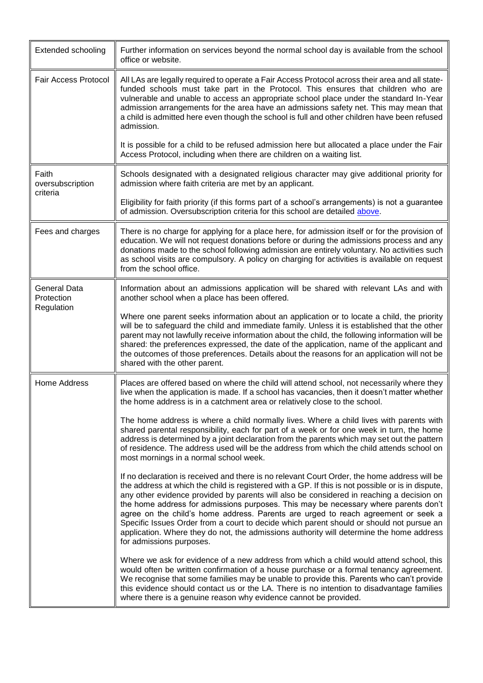| <b>Extended schooling</b>             | Further information on services beyond the normal school day is available from the school<br>office or website.                                                                                                                                                                                                                                                                                                                                                                                                                                                                                                                                                                               |
|---------------------------------------|-----------------------------------------------------------------------------------------------------------------------------------------------------------------------------------------------------------------------------------------------------------------------------------------------------------------------------------------------------------------------------------------------------------------------------------------------------------------------------------------------------------------------------------------------------------------------------------------------------------------------------------------------------------------------------------------------|
| <b>Fair Access Protocol</b>           | All LAs are legally required to operate a Fair Access Protocol across their area and all state-<br>funded schools must take part in the Protocol. This ensures that children who are<br>vulnerable and unable to access an appropriate school place under the standard In-Year<br>admission arrangements for the area have an admissions safety net. This may mean that<br>a child is admitted here even though the school is full and other children have been refused<br>admission.                                                                                                                                                                                                         |
|                                       | It is possible for a child to be refused admission here but allocated a place under the Fair<br>Access Protocol, including when there are children on a waiting list.                                                                                                                                                                                                                                                                                                                                                                                                                                                                                                                         |
| Faith<br>oversubscription<br>criteria | Schools designated with a designated religious character may give additional priority for<br>admission where faith criteria are met by an applicant.                                                                                                                                                                                                                                                                                                                                                                                                                                                                                                                                          |
|                                       | Eligibility for faith priority (if this forms part of a school's arrangements) is not a guarantee<br>of admission. Oversubscription criteria for this school are detailed above.                                                                                                                                                                                                                                                                                                                                                                                                                                                                                                              |
| Fees and charges                      | There is no charge for applying for a place here, for admission itself or for the provision of<br>education. We will not request donations before or during the admissions process and any<br>donations made to the school following admission are entirely voluntary. No activities such<br>as school visits are compulsory. A policy on charging for activities is available on request<br>from the school office.                                                                                                                                                                                                                                                                          |
| <b>General Data</b><br>Protection     | Information about an admissions application will be shared with relevant LAs and with<br>another school when a place has been offered.                                                                                                                                                                                                                                                                                                                                                                                                                                                                                                                                                        |
| Regulation                            | Where one parent seeks information about an application or to locate a child, the priority<br>will be to safeguard the child and immediate family. Unless it is established that the other<br>parent may not lawfully receive information about the child, the following information will be<br>shared: the preferences expressed, the date of the application, name of the applicant and<br>the outcomes of those preferences. Details about the reasons for an application will not be<br>shared with the other parent.                                                                                                                                                                     |
| Home Address                          | Places are offered based on where the child will attend school, not necessarily where they<br>live when the application is made. If a school has vacancies, then it doesn't matter whether<br>the home address is in a catchment area or relatively close to the school.                                                                                                                                                                                                                                                                                                                                                                                                                      |
|                                       | The home address is where a child normally lives. Where a child lives with parents with<br>shared parental responsibility, each for part of a week or for one week in turn, the home<br>address is determined by a joint declaration from the parents which may set out the pattern<br>of residence. The address used will be the address from which the child attends school on<br>most mornings in a normal school week.                                                                                                                                                                                                                                                                    |
|                                       | If no declaration is received and there is no relevant Court Order, the home address will be<br>the address at which the child is registered with a GP. If this is not possible or is in dispute,<br>any other evidence provided by parents will also be considered in reaching a decision on<br>the home address for admissions purposes. This may be necessary where parents don't<br>agree on the child's home address. Parents are urged to reach agreement or seek a<br>Specific Issues Order from a court to decide which parent should or should not pursue an<br>application. Where they do not, the admissions authority will determine the home address<br>for admissions purposes. |
|                                       | Where we ask for evidence of a new address from which a child would attend school, this<br>would often be written confirmation of a house purchase or a formal tenancy agreement.<br>We recognise that some families may be unable to provide this. Parents who can't provide<br>this evidence should contact us or the LA. There is no intention to disadvantage families<br>where there is a genuine reason why evidence cannot be provided.                                                                                                                                                                                                                                                |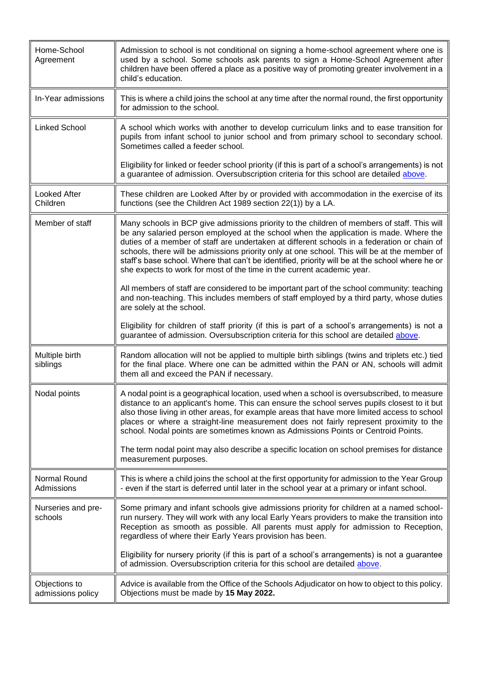| Home-School<br>Agreement           | Admission to school is not conditional on signing a home-school agreement where one is<br>used by a school. Some schools ask parents to sign a Home-School Agreement after<br>children have been offered a place as a positive way of promoting greater involvement in a<br>child's education.                                                                                                                                                                                                                                                                   |
|------------------------------------|------------------------------------------------------------------------------------------------------------------------------------------------------------------------------------------------------------------------------------------------------------------------------------------------------------------------------------------------------------------------------------------------------------------------------------------------------------------------------------------------------------------------------------------------------------------|
| In-Year admissions                 | This is where a child joins the school at any time after the normal round, the first opportunity<br>for admission to the school.                                                                                                                                                                                                                                                                                                                                                                                                                                 |
| <b>Linked School</b>               | A school which works with another to develop curriculum links and to ease transition for<br>pupils from infant school to junior school and from primary school to secondary school.<br>Sometimes called a feeder school.                                                                                                                                                                                                                                                                                                                                         |
|                                    | Eligibility for linked or feeder school priority (if this is part of a school's arrangements) is not<br>a guarantee of admission. Oversubscription criteria for this school are detailed above.                                                                                                                                                                                                                                                                                                                                                                  |
| <b>Looked After</b><br>Children    | These children are Looked After by or provided with accommodation in the exercise of its<br>functions (see the Children Act 1989 section 22(1)) by a LA.                                                                                                                                                                                                                                                                                                                                                                                                         |
| Member of staff                    | Many schools in BCP give admissions priority to the children of members of staff. This will<br>be any salaried person employed at the school when the application is made. Where the<br>duties of a member of staff are undertaken at different schools in a federation or chain of<br>schools, there will be admissions priority only at one school. This will be at the member of<br>staff's base school. Where that can't be identified, priority will be at the school where he or<br>she expects to work for most of the time in the current academic year. |
|                                    | All members of staff are considered to be important part of the school community: teaching<br>and non-teaching. This includes members of staff employed by a third party, whose duties<br>are solely at the school.                                                                                                                                                                                                                                                                                                                                              |
|                                    | Eligibility for children of staff priority (if this is part of a school's arrangements) is not a<br>guarantee of admission. Oversubscription criteria for this school are detailed above.                                                                                                                                                                                                                                                                                                                                                                        |
| Multiple birth<br>siblings         | Random allocation will not be applied to multiple birth siblings (twins and triplets etc.) tied<br>for the final place. Where one can be admitted within the PAN or AN, schools will admit<br>them all and exceed the PAN if necessary.                                                                                                                                                                                                                                                                                                                          |
| Nodal points                       | A nodal point is a geographical location, used when a school is oversubscribed, to measure<br>distance to an applicant's home. This can ensure the school serves pupils closest to it but<br>also those living in other areas, for example areas that have more limited access to school<br>places or where a straight-line measurement does not fairly represent proximity to the<br>school. Nodal points are sometimes known as Admissions Points or Centroid Points.                                                                                          |
|                                    | The term nodal point may also describe a specific location on school premises for distance<br>measurement purposes.                                                                                                                                                                                                                                                                                                                                                                                                                                              |
| Normal Round<br>Admissions         | This is where a child joins the school at the first opportunity for admission to the Year Group<br>- even if the start is deferred until later in the school year at a primary or infant school.                                                                                                                                                                                                                                                                                                                                                                 |
| Nurseries and pre-<br>schools      | Some primary and infant schools give admissions priority for children at a named school-<br>run nursery. They will work with any local Early Years providers to make the transition into<br>Reception as smooth as possible. All parents must apply for admission to Reception,<br>regardless of where their Early Years provision has been.                                                                                                                                                                                                                     |
|                                    | Eligibility for nursery priority (if this is part of a school's arrangements) is not a guarantee<br>of admission. Oversubscription criteria for this school are detailed above.                                                                                                                                                                                                                                                                                                                                                                                  |
| Objections to<br>admissions policy | Advice is available from the Office of the Schools Adjudicator on how to object to this policy.<br>Objections must be made by 15 May 2022.                                                                                                                                                                                                                                                                                                                                                                                                                       |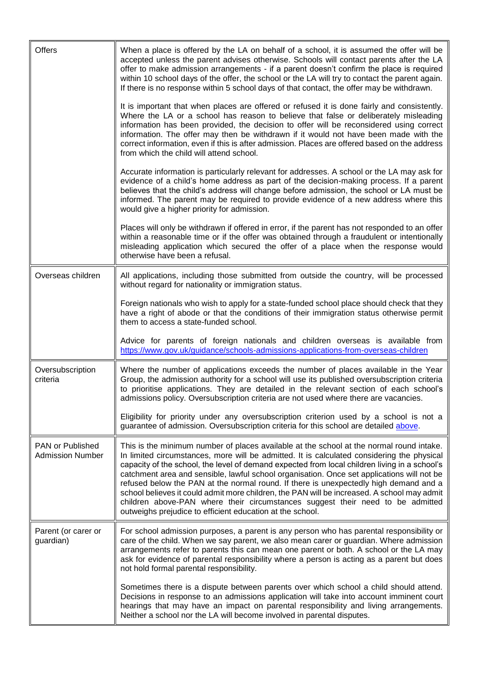| Offers                                      | When a place is offered by the LA on behalf of a school, it is assumed the offer will be<br>accepted unless the parent advises otherwise. Schools will contact parents after the LA<br>offer to make admission arrangements - if a parent doesn't confirm the place is required<br>within 10 school days of the offer, the school or the LA will try to contact the parent again.<br>If there is no response within 5 school days of that contact, the offer may be withdrawn.<br>It is important that when places are offered or refused it is done fairly and consistently.<br>Where the LA or a school has reason to believe that false or deliberately misleading<br>information has been provided, the decision to offer will be reconsidered using correct<br>information. The offer may then be withdrawn if it would not have been made with the<br>correct information, even if this is after admission. Places are offered based on the address<br>from which the child will attend school.<br>Accurate information is particularly relevant for addresses. A school or the LA may ask for<br>evidence of a child's home address as part of the decision-making process. If a parent<br>believes that the child's address will change before admission, the school or LA must be<br>informed. The parent may be required to provide evidence of a new address where this<br>would give a higher priority for admission.<br>Places will only be withdrawn if offered in error, if the parent has not responded to an offer<br>within a reasonable time or if the offer was obtained through a fraudulent or intentionally |
|---------------------------------------------|------------------------------------------------------------------------------------------------------------------------------------------------------------------------------------------------------------------------------------------------------------------------------------------------------------------------------------------------------------------------------------------------------------------------------------------------------------------------------------------------------------------------------------------------------------------------------------------------------------------------------------------------------------------------------------------------------------------------------------------------------------------------------------------------------------------------------------------------------------------------------------------------------------------------------------------------------------------------------------------------------------------------------------------------------------------------------------------------------------------------------------------------------------------------------------------------------------------------------------------------------------------------------------------------------------------------------------------------------------------------------------------------------------------------------------------------------------------------------------------------------------------------------------------------------------------------------------------------------------------------------------|
|                                             | misleading application which secured the offer of a place when the response would<br>otherwise have been a refusal.                                                                                                                                                                                                                                                                                                                                                                                                                                                                                                                                                                                                                                                                                                                                                                                                                                                                                                                                                                                                                                                                                                                                                                                                                                                                                                                                                                                                                                                                                                                |
| Overseas children                           | All applications, including those submitted from outside the country, will be processed<br>without regard for nationality or immigration status.                                                                                                                                                                                                                                                                                                                                                                                                                                                                                                                                                                                                                                                                                                                                                                                                                                                                                                                                                                                                                                                                                                                                                                                                                                                                                                                                                                                                                                                                                   |
|                                             | Foreign nationals who wish to apply for a state-funded school place should check that they<br>have a right of abode or that the conditions of their immigration status otherwise permit<br>them to access a state-funded school.                                                                                                                                                                                                                                                                                                                                                                                                                                                                                                                                                                                                                                                                                                                                                                                                                                                                                                                                                                                                                                                                                                                                                                                                                                                                                                                                                                                                   |
|                                             | Advice for parents of foreign nationals and children overseas is available from<br>https://www.gov.uk/guidance/schools-admissions-applications-from-overseas-children                                                                                                                                                                                                                                                                                                                                                                                                                                                                                                                                                                                                                                                                                                                                                                                                                                                                                                                                                                                                                                                                                                                                                                                                                                                                                                                                                                                                                                                              |
| Oversubscription<br>criteria                | Where the number of applications exceeds the number of places available in the Year<br>Group, the admission authority for a school will use its published oversubscription criteria<br>to prioritise applications. They are detailed in the relevant section of each school's<br>admissions policy. Oversubscription criteria are not used where there are vacancies.                                                                                                                                                                                                                                                                                                                                                                                                                                                                                                                                                                                                                                                                                                                                                                                                                                                                                                                                                                                                                                                                                                                                                                                                                                                              |
|                                             | Eligibility for priority under any oversubscription criterion used by a school is not a<br>guarantee of admission. Oversubscription criteria for this school are detailed above.                                                                                                                                                                                                                                                                                                                                                                                                                                                                                                                                                                                                                                                                                                                                                                                                                                                                                                                                                                                                                                                                                                                                                                                                                                                                                                                                                                                                                                                   |
| PAN or Published<br><b>Admission Number</b> | This is the minimum number of places available at the school at the normal round intake.<br>In limited circumstances, more will be admitted. It is calculated considering the physical<br>capacity of the school, the level of demand expected from local children living in a school's<br>catchment area and sensible, lawful school organisation. Once set applications will not be<br>refused below the PAN at the normal round. If there is unexpectedly high demand and a<br>school believes it could admit more children, the PAN will be increased. A school may admit<br>children above-PAN where their circumstances suggest their need to be admitted<br>outweighs prejudice to efficient education at the school.                                                                                                                                                                                                                                                                                                                                                                                                                                                                                                                                                                                                                                                                                                                                                                                                                                                                                                       |
| Parent (or carer or<br>guardian)            | For school admission purposes, a parent is any person who has parental responsibility or<br>care of the child. When we say parent, we also mean carer or guardian. Where admission<br>arrangements refer to parents this can mean one parent or both. A school or the LA may<br>ask for evidence of parental responsibility where a person is acting as a parent but does<br>not hold formal parental responsibility.                                                                                                                                                                                                                                                                                                                                                                                                                                                                                                                                                                                                                                                                                                                                                                                                                                                                                                                                                                                                                                                                                                                                                                                                              |
|                                             | Sometimes there is a dispute between parents over which school a child should attend.<br>Decisions in response to an admissions application will take into account imminent court<br>hearings that may have an impact on parental responsibility and living arrangements.<br>Neither a school nor the LA will become involved in parental disputes.                                                                                                                                                                                                                                                                                                                                                                                                                                                                                                                                                                                                                                                                                                                                                                                                                                                                                                                                                                                                                                                                                                                                                                                                                                                                                |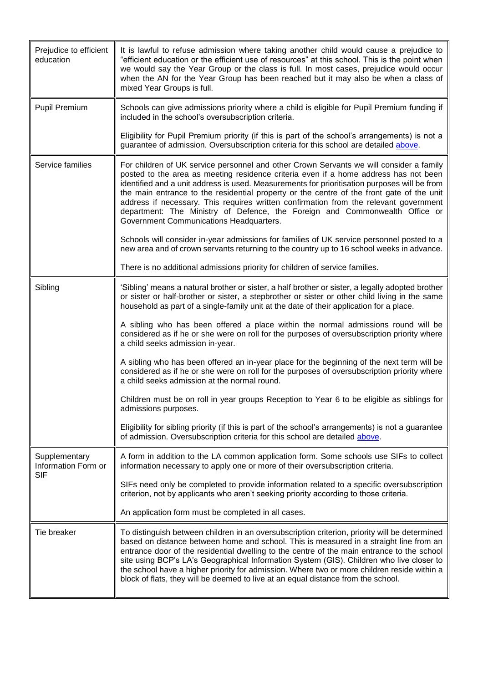<span id="page-15-0"></span>

| Prejudice to efficient<br>education  | It is lawful to refuse admission where taking another child would cause a prejudice to<br>"efficient education or the efficient use of resources" at this school. This is the point when<br>we would say the Year Group or the class is full. In most cases, prejudice would occur<br>when the AN for the Year Group has been reached but it may also be when a class of<br>mixed Year Groups is full.                                                                                                                                                                                          |
|--------------------------------------|-------------------------------------------------------------------------------------------------------------------------------------------------------------------------------------------------------------------------------------------------------------------------------------------------------------------------------------------------------------------------------------------------------------------------------------------------------------------------------------------------------------------------------------------------------------------------------------------------|
| <b>Pupil Premium</b>                 | Schools can give admissions priority where a child is eligible for Pupil Premium funding if<br>included in the school's oversubscription criteria.                                                                                                                                                                                                                                                                                                                                                                                                                                              |
|                                      | Eligibility for Pupil Premium priority (if this is part of the school's arrangements) is not a<br>guarantee of admission. Oversubscription criteria for this school are detailed above.                                                                                                                                                                                                                                                                                                                                                                                                         |
| Service families                     | For children of UK service personnel and other Crown Servants we will consider a family<br>posted to the area as meeting residence criteria even if a home address has not been<br>identified and a unit address is used. Measurements for prioritisation purposes will be from<br>the main entrance to the residential property or the centre of the front gate of the unit<br>address if necessary. This requires written confirmation from the relevant government<br>department: The Ministry of Defence, the Foreign and Commonwealth Office or<br>Government Communications Headquarters. |
|                                      | Schools will consider in-year admissions for families of UK service personnel posted to a<br>new area and of crown servants returning to the country up to 16 school weeks in advance.                                                                                                                                                                                                                                                                                                                                                                                                          |
|                                      | There is no additional admissions priority for children of service families.                                                                                                                                                                                                                                                                                                                                                                                                                                                                                                                    |
| Sibling                              | 'Sibling' means a natural brother or sister, a half brother or sister, a legally adopted brother<br>or sister or half-brother or sister, a stepbrother or sister or other child living in the same<br>household as part of a single-family unit at the date of their application for a place.                                                                                                                                                                                                                                                                                                   |
|                                      | A sibling who has been offered a place within the normal admissions round will be<br>considered as if he or she were on roll for the purposes of oversubscription priority where<br>a child seeks admission in-year.                                                                                                                                                                                                                                                                                                                                                                            |
|                                      | A sibling who has been offered an in-year place for the beginning of the next term will be<br>considered as if he or she were on roll for the purposes of oversubscription priority where<br>a child seeks admission at the normal round.                                                                                                                                                                                                                                                                                                                                                       |
|                                      | Children must be on roll in year groups Reception to Year 6 to be eligible as siblings for<br>admissions purposes.                                                                                                                                                                                                                                                                                                                                                                                                                                                                              |
|                                      | Eligibility for sibling priority (if this is part of the school's arrangements) is not a guarantee<br>of admission. Oversubscription criteria for this school are detailed above.                                                                                                                                                                                                                                                                                                                                                                                                               |
| Supplementary<br>Information Form or | A form in addition to the LA common application form. Some schools use SIFs to collect<br>information necessary to apply one or more of their oversubscription criteria.                                                                                                                                                                                                                                                                                                                                                                                                                        |
| SIF                                  | SIFs need only be completed to provide information related to a specific oversubscription<br>criterion, not by applicants who aren't seeking priority according to those criteria.                                                                                                                                                                                                                                                                                                                                                                                                              |
|                                      | An application form must be completed in all cases.                                                                                                                                                                                                                                                                                                                                                                                                                                                                                                                                             |
| Tie breaker                          | To distinguish between children in an oversubscription criterion, priority will be determined<br>based on distance between home and school. This is measured in a straight line from an<br>entrance door of the residential dwelling to the centre of the main entrance to the school<br>site using BCP's LA's Geographical Information System (GIS). Children who live closer to<br>the school have a higher priority for admission. Where two or more children reside within a<br>block of flats, they will be deemed to live at an equal distance from the school.                           |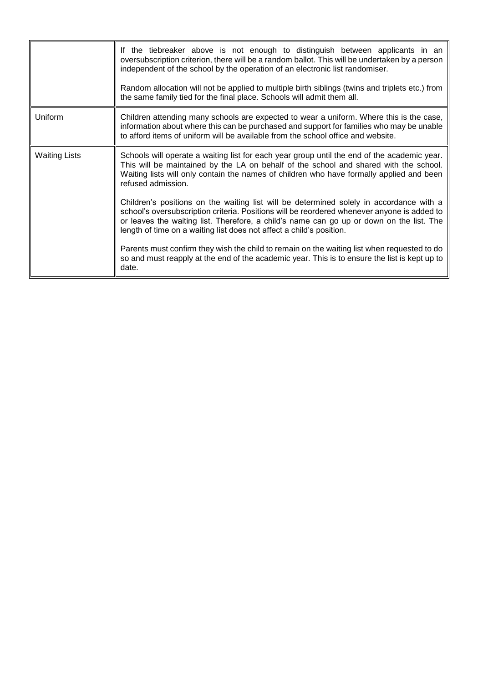|                      | If the tiebreaker above is not enough to distinguish between applicants in an<br>oversubscription criterion, there will be a random ballot. This will be undertaken by a person<br>independent of the school by the operation of an electronic list randomiser.<br>Random allocation will not be applied to multiple birth siblings (twins and triplets etc.) from<br>the same family tied for the final place. Schools will admit them all. |
|----------------------|----------------------------------------------------------------------------------------------------------------------------------------------------------------------------------------------------------------------------------------------------------------------------------------------------------------------------------------------------------------------------------------------------------------------------------------------|
| Uniform              | Children attending many schools are expected to wear a uniform. Where this is the case,<br>information about where this can be purchased and support for families who may be unable<br>to afford items of uniform will be available from the school office and website.                                                                                                                                                                      |
| <b>Waiting Lists</b> | Schools will operate a waiting list for each year group until the end of the academic year.<br>This will be maintained by the LA on behalf of the school and shared with the school.<br>Waiting lists will only contain the names of children who have formally applied and been<br>refused admission.                                                                                                                                       |
|                      | Children's positions on the waiting list will be determined solely in accordance with a<br>school's oversubscription criteria. Positions will be reordered whenever anyone is added to<br>or leaves the waiting list. Therefore, a child's name can go up or down on the list. The<br>length of time on a waiting list does not affect a child's position.                                                                                   |
|                      | Parents must confirm they wish the child to remain on the waiting list when requested to do<br>so and must reapply at the end of the academic year. This is to ensure the list is kept up to<br>date.                                                                                                                                                                                                                                        |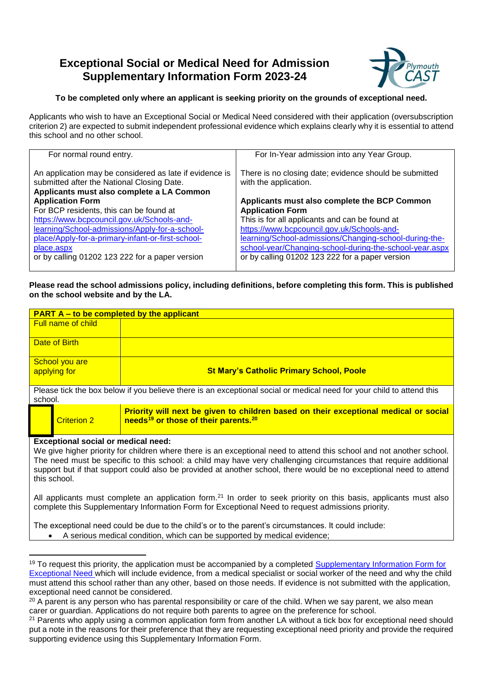## <span id="page-17-0"></span>**Exceptional Social or Medical Need for Admission Supplementary Information Form 2023-24**



#### **To be completed only where an applicant is seeking priority on the grounds of exceptional need.**

Applicants who wish to have an Exceptional Social or Medical Need considered with their application (oversubscription criterion 2) are expected to submit independent professional evidence which explains clearly why it is essential to attend this school and no other school.

| For normal round entry.                                 | For In-Year admission into any Year Group.              |
|---------------------------------------------------------|---------------------------------------------------------|
|                                                         |                                                         |
|                                                         |                                                         |
| An application may be considered as late if evidence is | There is no closing date; evidence should be submitted  |
|                                                         |                                                         |
| submitted after the National Closing Date.              | with the application.                                   |
|                                                         |                                                         |
| Applicants must also complete a LA Common               |                                                         |
| <b>Application Form</b>                                 | Applicants must also complete the BCP Common            |
|                                                         |                                                         |
| For BCP residents, this can be found at                 | <b>Application Form</b>                                 |
| https://www.bcpcouncil.gov.uk/Schools-and-              | This is for all applicants and can be found at          |
|                                                         |                                                         |
| learning/School-admissions/Apply-for-a-school-          | https://www.bcpcouncil.gov.uk/Schools-and-              |
| place/Apply-for-a-primary-infant-or-first-school-       | learning/School-admissions/Changing-school-during-the-  |
|                                                         |                                                         |
| place.aspx                                              | school-year/Changing-school-during-the-school-year.aspx |
| or by calling 01202 123 222 for a paper version         | or by calling 01202 123 222 for a paper version         |
|                                                         |                                                         |
|                                                         |                                                         |

**Please read the school admissions policy, including definitions, before completing this form. This is published on the school website and by the LA.** 

| <b>PART A – to be completed by the applicant</b>                                                                                                                                                                                                                                                                                                                                                                               |                           |                                                                                                                                                      |  |
|--------------------------------------------------------------------------------------------------------------------------------------------------------------------------------------------------------------------------------------------------------------------------------------------------------------------------------------------------------------------------------------------------------------------------------|---------------------------|------------------------------------------------------------------------------------------------------------------------------------------------------|--|
|                                                                                                                                                                                                                                                                                                                                                                                                                                | <b>Full name of child</b> |                                                                                                                                                      |  |
|                                                                                                                                                                                                                                                                                                                                                                                                                                | Date of Birth             |                                                                                                                                                      |  |
| School you are<br>applying for                                                                                                                                                                                                                                                                                                                                                                                                 |                           | <b>St Mary's Catholic Primary School, Poole</b>                                                                                                      |  |
| Please tick the box below if you believe there is an exceptional social or medical need for your child to attend this<br>school.                                                                                                                                                                                                                                                                                               |                           |                                                                                                                                                      |  |
|                                                                                                                                                                                                                                                                                                                                                                                                                                | <b>Criterion 2</b>        | Priority will next be given to children based on their exceptional medical or social<br>needs <sup>19</sup> or those of their parents. <sup>20</sup> |  |
| <b>Exceptional social or medical need:</b><br>We give higher priority for children where there is an exceptional need to attend this school and not another school.<br>The need must be specific to this school: a child may have very challenging circumstances that require additional<br>support but if that support could also be provided at another school, there would be no exceptional need to attend<br>this school. |                           |                                                                                                                                                      |  |
| All applicants must complete an application form. <sup>21</sup> In order to seek priority on this basis, applicants must also<br>complete this Supplementary Information Form for Exceptional Need to request admissions priority.                                                                                                                                                                                             |                           |                                                                                                                                                      |  |
| The exceptional need could be due to the child's or to the parent's circumstances. It could include:<br>A serious medical condition, which can be supported by medical evidence;                                                                                                                                                                                                                                               |                           |                                                                                                                                                      |  |

1

<sup>&</sup>lt;sup>19</sup> To request this priority, the application must be accompanied by a completed Supplementary Information Form for [Exceptional Need](#page-17-0) which will include evidence, from a medical specialist or social worker of the need and why the child must attend this school rather than any other, based on those needs. If evidence is not submitted with the application, exceptional need cannot be considered.

 $20$  A parent is any person who has parental responsibility or care of the child. When we say parent, we also mean carer or guardian. Applications do not require both parents to agree on the preference for school.

<sup>&</sup>lt;sup>21</sup> Parents who apply using a common application form from another LA without a tick box for exceptional need should put a note in the reasons for their preference that they are requesting exceptional need priority and provide the required supporting evidence using this Supplementary Information Form.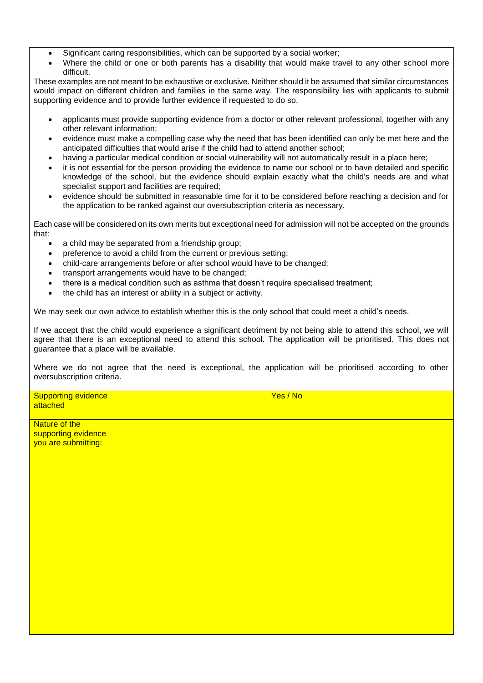- Significant caring responsibilities, which can be supported by a social worker;
- Where the child or one or both parents has a disability that would make travel to any other school more difficult.

These examples are not meant to be exhaustive or exclusive. Neither should it be assumed that similar circumstances would impact on different children and families in the same way. The responsibility lies with applicants to submit supporting evidence and to provide further evidence if requested to do so.

- applicants must provide supporting evidence from a doctor or other relevant professional, together with any other relevant information;
- evidence must make a compelling case why the need that has been identified can only be met here and the anticipated difficulties that would arise if the child had to attend another school;
- having a particular medical condition or social vulnerability will not automatically result in a place here;
- it is not essential for the person providing the evidence to name our school or to have detailed and specific knowledge of the school, but the evidence should explain exactly what the child's needs are and what specialist support and facilities are required;
- evidence should be submitted in reasonable time for it to be considered before reaching a decision and for the application to be ranked against our oversubscription criteria as necessary.

Each case will be considered on its own merits but exceptional need for admission will not be accepted on the grounds that:

- a child may be separated from a friendship group;
- preference to avoid a child from the current or previous setting;
- child-care arrangements before or after school would have to be changed;
- transport arrangements would have to be changed;
- there is a medical condition such as asthma that doesn't require specialised treatment;
- the child has an interest or ability in a subject or activity.

We may seek our own advice to establish whether this is the only school that could meet a child's needs.

If we accept that the child would experience a significant detriment by not being able to attend this school, we will agree that there is an exceptional need to attend this school. The application will be prioritised. This does not guarantee that a place will be available.

Where we do not agree that the need is exceptional, the application will be prioritised according to other oversubscription criteria.

Supporting evidence attached

Yes / No

Nature of the supporting evidence you are submitting: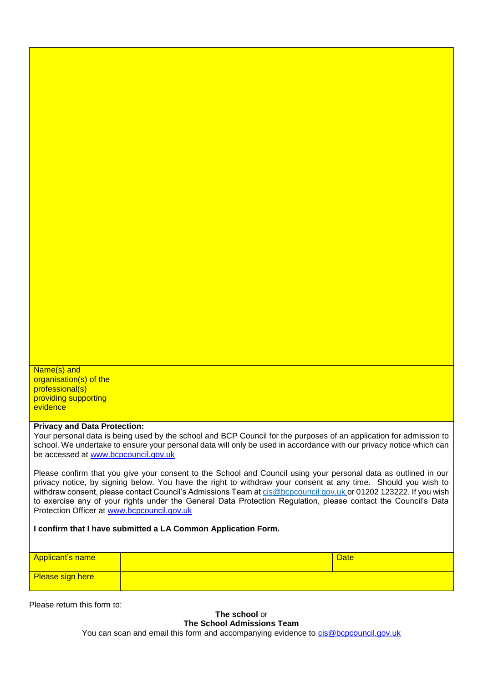Name(s) and organisation(s) of the professional(s) providing supporting evidence

#### **Privacy and Data Protection:**

Your personal data is being used by the school and BCP Council for the purposes of an application for admission to school. We undertake to ensure your personal data will only be used in accordance with our privacy notice which can be accessed at [www.bcpcouncil.gov.uk](http://www.bcpcouncil.gov.uk/)

Please confirm that you give your consent to the School and Council using your personal data as outlined in our privacy notice, by signing below. You have the right to withdraw your consent at any time. Should you wish to withdraw consent, please contact Council's Admissions Team at [cis@bcpcouncil.gov.uk](mailto:cis@bcpcouncil.gov.uk) or 01202 123222. If you wish to exercise any of your rights under the General Data Protection Regulation, please contact the Council's Data Protection Officer at [www.bcpcouncil.gov.uk](http://www.bcpcouncil.gov.uk/)

#### **I confirm that I have submitted a LA Common Application Form.**

| <b>Date</b> |
|-------------|

Please return this form to:

**The school** or **The School Admissions Team** You can scan and email this form and accompanying evidence to [cis@bcpcouncil.gov.uk](mailto:cis@bcpcouncil.gov.uk)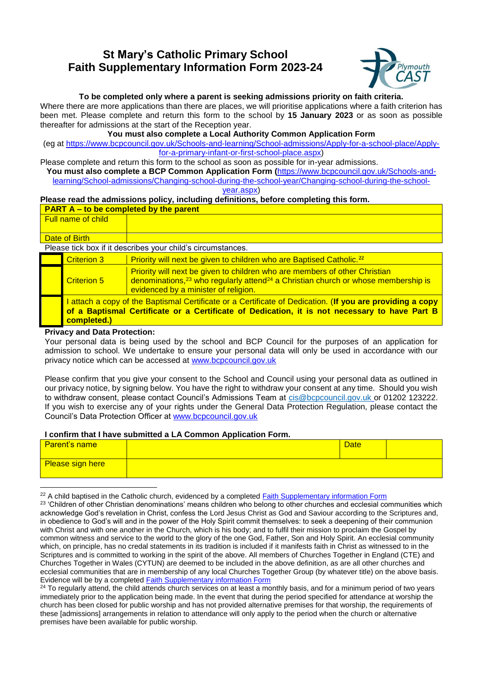### **St Mary's Catholic Primary School Faith Supplementary Information Form 2023-24**



#### **To be completed only where a parent is seeking admissions priority on faith criteria.**

Where there are more applications than there are places, we will prioritise applications where a faith criterion has been met. Please complete and return this form to the school by **15 January 2023** or as soon as possible thereafter for admissions at the start of the Reception year.

**You must also complete a Local Authority Common Application Form** 

(eg at [https://www.bcpcouncil.gov.uk/Schools-and-learning/School-admissions/Apply-for-a-school-place/Apply](https://www.bcpcouncil.gov.uk/Schools-and-learning/School-admissions/Apply-for-a-school-place/Apply-for-a-primary-infant-or-first-school-place.aspx)[for-a-primary-infant-or-first-school-place.aspx\)](https://www.bcpcouncil.gov.uk/Schools-and-learning/School-admissions/Apply-for-a-school-place/Apply-for-a-primary-infant-or-first-school-place.aspx)

Please complete and return this form to the school as soon as possible for in-year admissions.

**You must also complete a BCP Common Application Form (**[https://www.bcpcouncil.gov.uk/Schools-and](https://www.bcpcouncil.gov.uk/Schools-and-learning/School-admissions/Changing-school-during-the-school-year/Changing-school-during-the-school-year.aspx)[learning/School-admissions/Changing-school-during-the-school-year/Changing-school-during-the-school-](https://www.bcpcouncil.gov.uk/Schools-and-learning/School-admissions/Changing-school-during-the-school-year/Changing-school-during-the-school-year.aspx)

[year.aspx\)](https://www.bcpcouncil.gov.uk/Schools-and-learning/School-admissions/Changing-school-during-the-school-year/Changing-school-during-the-school-year.aspx)

#### **Please read the admissions policy, including definitions, before completing this form.**

|                                                             | <b>PART A – to be completed by the parent</b>                                                                                                                                                                           |                                                                                                                                                                                                               |  |  |
|-------------------------------------------------------------|-------------------------------------------------------------------------------------------------------------------------------------------------------------------------------------------------------------------------|---------------------------------------------------------------------------------------------------------------------------------------------------------------------------------------------------------------|--|--|
| <b>Full name of child</b>                                   |                                                                                                                                                                                                                         |                                                                                                                                                                                                               |  |  |
|                                                             |                                                                                                                                                                                                                         |                                                                                                                                                                                                               |  |  |
| Date of Birth                                               |                                                                                                                                                                                                                         |                                                                                                                                                                                                               |  |  |
| Please tick box if it describes your child's circumstances. |                                                                                                                                                                                                                         |                                                                                                                                                                                                               |  |  |
|                                                             | <b>Criterion 3</b>                                                                                                                                                                                                      | Priority will next be given to children who are Baptised Catholic. <sup>22</sup>                                                                                                                              |  |  |
|                                                             | <b>Criterion 5</b>                                                                                                                                                                                                      | Priority will next be given to children who are members of other Christian<br>denominations, $23$ who regularly attend $24$ a Christian church or whose membership is<br>evidenced by a minister of religion. |  |  |
|                                                             | attach a copy of the Baptismal Certificate or a Certificate of Dedication. (If you are providing a copy<br>of a Baptismal Certificate or a Certificate of Dedication, it is not necessary to have Part B<br>completed.) |                                                                                                                                                                                                               |  |  |

#### **Privacy and Data Protection:**

Your personal data is being used by the school and BCP Council for the purposes of an application for admission to school. We undertake to ensure your personal data will only be used in accordance with our privacy notice which can be accessed at [www.bcpcouncil.gov.uk](http://www.bcpcouncil.gov.uk/) 

Please confirm that you give your consent to the School and Council using your personal data as outlined in our privacy notice, by signing below. You have the right to withdraw your consent at any time. Should you wish to withdraw consent, please contact Council's Admissions Team at [cis@bcpcouncil.gov.uk](mailto:cis@bcpcouncil.gov.uk) or 01202 123222. If you wish to exercise any of your rights under the General Data Protection Regulation, please contact the Council's Data Protection Officer at [www.bcpcouncil.gov.uk](http://www.bcpcouncil.gov.uk/) 

#### **I confirm that I have submitted a LA Common Application Form.**

| <b>Parent's name</b> | -- | <b>Date</b> |  |
|----------------------|----|-------------|--|
| Please sign here     |    |             |  |

 $\overline{\phantom{a}}$ <sup>22</sup> A child baptised in the Catholic church, evidenced by a completed [Faith Supplementary information Form](file:///C:/Users/andrew.brent/AppData/Local/Microsoft/Windows/INetCache/Content.Outlook/UQ6WYLIE/Plymouth%20CAST%20draft%20criteria%202023.docx%23siffaith)

<sup>&</sup>lt;sup>23</sup> 'Children of other Christian denominations' means children who belong to other churches and ecclesial communities which acknowledge God's revelation in Christ, confess the Lord Jesus Christ as God and Saviour according to the Scriptures and, in obedience to God's will and in the power of the Holy Spirit commit themselves: to seek a deepening of their communion with Christ and with one another in the Church, which is his body; and to fulfil their mission to proclaim the Gospel by common witness and service to the world to the glory of the one God, Father, Son and Holy Spirit. An ecclesial community which, on principle, has no credal statements in its tradition is included if it manifests faith in Christ as witnessed to in the Scriptures and is committed to working in the spirit of the above. All members of Churches Together in England (CTE) and Churches Together in Wales (CYTUN) are deemed to be included in the above definition, as are all other churches and ecclesial communities that are in membership of any local Churches Together Group (by whatever title) on the above basis. Evidence will be by a completed **Faith Supplementary information Form** 

<sup>&</sup>lt;sup>24</sup> To regularly attend, the child attends church services on at least a monthly basis, and for a minimum period of two years immediately prior to the application being made. In the event that during the period specified for attendance at worship the church has been closed for public worship and has not provided alternative premises for that worship, the requirements of these [admissions] arrangements in relation to attendance will only apply to the period when the church or alternative premises have been available for public worship.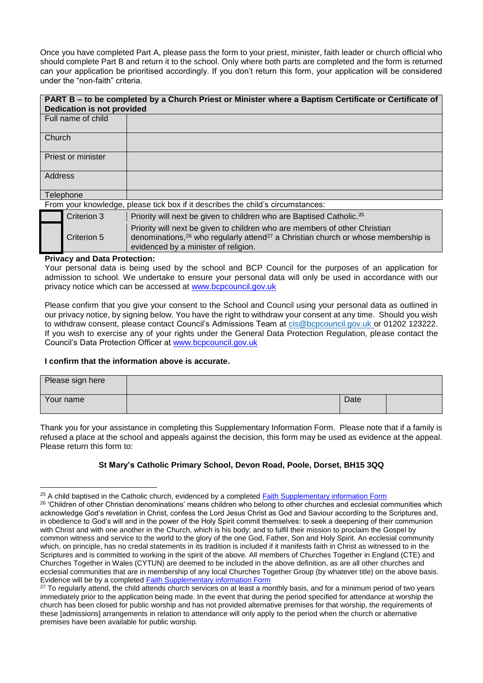Once you have completed Part A, please pass the form to your priest, minister, faith leader or church official who should complete Part B and return it to the school. Only where both parts are completed and the form is returned can your application be prioritised accordingly. If you don't return this form, your application will be considered under the "non-faith" criteria.

# **PART B – to be completed by a Church Priest or Minister where a Baptism Certificate or Certificate of Dedication is not provided** Full name of child **Church** Priest or minister **Address**

**Telephone** From your knowledge, please tick box if it describes the child's circumstances:

| Term your milowiougo, prodoo tion box in it dooonboo tho oring o on carrictariood. |                                                                                                                                                                                                                                 |  |  |
|------------------------------------------------------------------------------------|---------------------------------------------------------------------------------------------------------------------------------------------------------------------------------------------------------------------------------|--|--|
| Criterion 3                                                                        | Priority will next be given to children who are Baptised Catholic. <sup>25</sup>                                                                                                                                                |  |  |
| Criterion 5                                                                        | Priority will next be given to children who are members of other Christian<br>denominations, <sup>26</sup> who regularly attend <sup>27</sup> a Christian church or whose membership is<br>evidenced by a minister of religion. |  |  |

#### **Privacy and Data Protection:**

Your personal data is being used by the school and BCP Council for the purposes of an application for admission to school. We undertake to ensure your personal data will only be used in accordance with our privacy notice which can be accessed at [www.bcpcouncil.gov.uk](http://www.bcpcouncil.gov.uk/) 

Please confirm that you give your consent to the School and Council using your personal data as outlined in our privacy notice, by signing below. You have the right to withdraw your consent at any time. Should you wish to withdraw consent, please contact Council's Admissions Team at [cis@bcpcouncil.gov.uk](mailto:cis@bcpcouncil.gov.uk) or 01202 123222. If you wish to exercise any of your rights under the General Data Protection Regulation, please contact the Council's Data Protection Officer at [www.bcpcouncil.gov.uk](http://www.bcpcouncil.gov.uk/) 

#### **I confirm that the information above is accurate.**

| Please sign here |      |  |
|------------------|------|--|
| Your name        | Date |  |

Thank you for your assistance in completing this Supplementary Information Form. Please note that if a family is refused a place at the school and appeals against the decision, this form may be used as evidence at the appeal. Please return this form to:

#### **St Mary's Catholic Primary School, Devon Road, Poole, Dorset, BH15 3QQ**

 $\overline{\phantom{a}}$ <sup>25</sup> A child baptised in the Catholic church, evidenced by a completed [Faith Supplementary information Form](file:///C:/Users/andrew.brent/AppData/Local/Microsoft/Windows/INetCache/Content.Outlook/UQ6WYLIE/Plymouth%20CAST%20draft%20criteria%202023.docx%23siffaith) <sup>26</sup> 'Children of other Christian denominations' means children who belong to other churches and ecclesial communities which acknowledge God's revelation in Christ, confess the Lord Jesus Christ as God and Saviour according to the Scriptures and, in obedience to God's will and in the power of the Holy Spirit commit themselves: to seek a deepening of their communion with Christ and with one another in the Church, which is his body; and to fulfil their mission to proclaim the Gospel by common witness and service to the world to the glory of the one God, Father, Son and Holy Spirit. An ecclesial community which, on principle, has no credal statements in its tradition is included if it manifests faith in Christ as witnessed to in the Scriptures and is committed to working in the spirit of the above. All members of Churches Together in England (CTE) and Churches Together in Wales (CYTUN) are deemed to be included in the above definition, as are all other churches and ecclesial communities that are in membership of any local Churches Together Group (by whatever title) on the above basis. Evidence will be by a completed **Faith Supplementary information Form** 

<sup>&</sup>lt;sup>27</sup> To regularly attend, the child attends church services on at least a monthly basis, and for a minimum period of two years immediately prior to the application being made. In the event that during the period specified for attendance at worship the church has been closed for public worship and has not provided alternative premises for that worship, the requirements of these [admissions] arrangements in relation to attendance will only apply to the period when the church or alternative premises have been available for public worship.